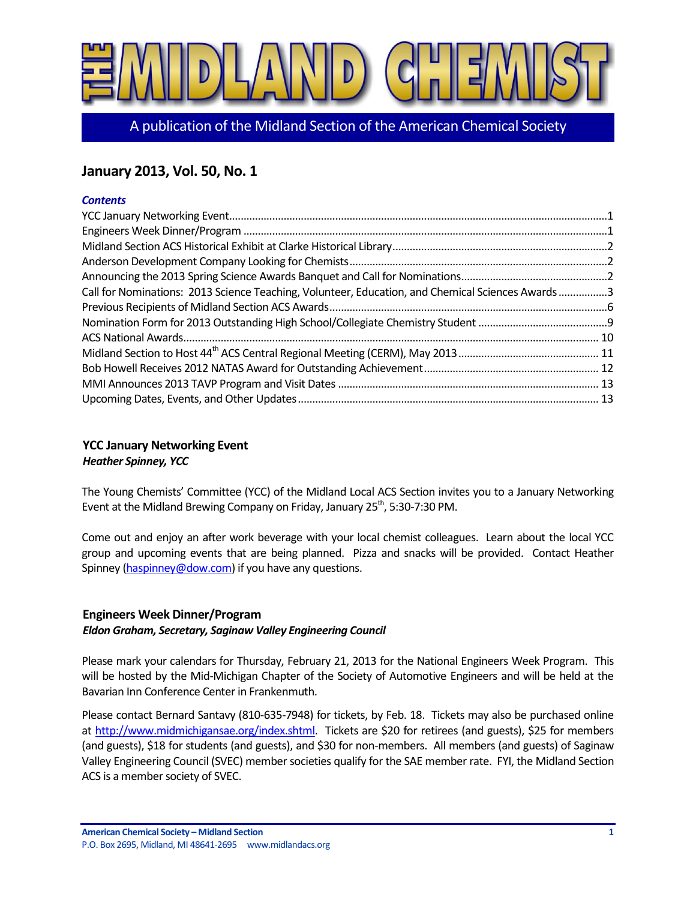

A publication of the Midland Section of the American Chemical Society

# **January 2013, Vol. 50, No. 1**

## *Contents*

| Call for Nominations: 2013 Science Teaching, Volunteer, Education, and Chemical Sciences Awards3 |  |
|--------------------------------------------------------------------------------------------------|--|
|                                                                                                  |  |
|                                                                                                  |  |
|                                                                                                  |  |
|                                                                                                  |  |
|                                                                                                  |  |
|                                                                                                  |  |
|                                                                                                  |  |

## <span id="page-0-0"></span>**YCC January Networking Event** *Heather Spinney, YCC*

The Young Chemists' Committee (YCC) of the Midland Local ACS Section invites you to a January Networking Event at the Midland Brewing Company on Friday, January 25<sup>th</sup>, 5:30-7:30 PM.

Come out and enjoy an after work beverage with your local chemist colleagues. Learn about the local YCC group and upcoming events that are being planned. Pizza and snacks will be provided. Contact Heather Spinney [\(haspinney@dow.com\)](mailto:haspinney@dow.com) if you have any questions.

## <span id="page-0-1"></span>**Engineers Week Dinner/Program**

## *Eldon Graham, Secretary, Saginaw Valley Engineering Council*

Please mark your calendars for Thursday, February 21, 2013 for the National Engineers Week Program. This will be hosted by the Mid-Michigan Chapter of the Society of Automotive Engineers and will be held at the Bavarian Inn Conference Center in Frankenmuth.

Please contact Bernard Santavy (810-635-7948) for tickets, by Feb. 18. Tickets may also be purchased online at [http://www.midmichigansae.org/index.shtml.](http://www.midmichigansae.org/index.shtml) Tickets are \$20 for retirees (and guests), \$25 for members (and guests), \$18 for students (and guests), and \$30 for non-members. All members (and guests) of Saginaw Valley Engineering Council (SVEC) member societies qualify for the SAE member rate. FYI, the Midland Section ACS is a member society of SVEC.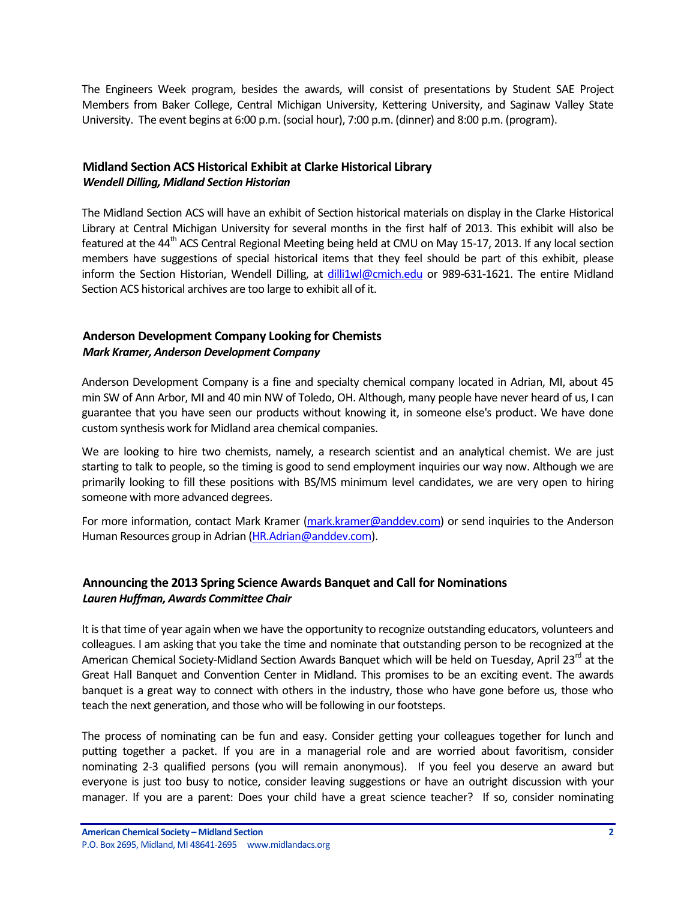The Engineers Week program, besides the awards, will consist of presentations by Student SAE Project Members from Baker College, Central Michigan University, Kettering University, and Saginaw Valley State University. The event begins at 6:00 p.m. (social hour), 7:00 p.m. (dinner) and 8:00 p.m. (program).

## <span id="page-1-0"></span>**Midland Section ACS Historical Exhibit at Clarke Historical Library** *Wendell Dilling, Midland Section Historian*

The Midland Section ACS will have an exhibit of Section historical materials on display in the Clarke Historical Library at Central Michigan University for several months in the first half of 2013. This exhibit will also be featured at the 44<sup>th</sup> ACS Central Regional Meeting being held at CMU on May 15-17, 2013. If any local section members have suggestions of special historical items that they feel should be part of this exhibit, please inform the Section Historian, Wendell Dilling, at [dilli1wl@cmich.edu](mailto:dilli1wl@cmich.edu) or 989-631-1621. The entire Midland Section ACS historical archives are too large to exhibit all of it.

## <span id="page-1-1"></span>**Anderson Development Company Looking for Chemists** *Mark Kramer, Anderson Development Company*

Anderson Development Company is a fine and specialty chemical company located in Adrian, MI, about 45 min SW of Ann Arbor, MI and 40 min NW of Toledo, OH. Although, many people have never heard of us, I can guarantee that you have seen our products without knowing it, in someone else's product. We have done custom synthesis work for Midland area chemical companies.

We are looking to hire two chemists, namely, a research scientist and an analytical chemist. We are just starting to talk to people, so the timing is good to send employment inquiries our way now. Although we are primarily looking to fill these positions with BS/MS minimum level candidates, we are very open to hiring someone with more advanced degrees.

For more information, contact Mark Kramer [\(mark.kramer@anddev.com\)](mailto:mark.kramer@anddev.com) or send inquiries to the Anderson Human Resources group in Adrian [\(HR.Adrian@anddev.com\)](mailto:HR.Adrian@anddev.com).

## <span id="page-1-2"></span>**Announcing the 2013 Spring Science Awards Banquet and Call for Nominations** *Lauren Huffman, Awards Committee Chair*

It is that time of year again when we have the opportunity to recognize outstanding educators, volunteers and colleagues. I am asking that you take the time and nominate that outstanding person to be recognized at the American Chemical Society-Midland Section Awards Banquet which will be held on Tuesday, April 23<sup>rd</sup> at the Great Hall Banquet and Convention Center in Midland. This promises to be an exciting event. The awards banquet is a great way to connect with others in the industry, those who have gone before us, those who teach the next generation, and those who will be following in our footsteps.

The process of nominating can be fun and easy. Consider getting your colleagues together for lunch and putting together a packet. If you are in a managerial role and are worried about favoritism, consider nominating 2-3 qualified persons (you will remain anonymous). If you feel you deserve an award but everyone is just too busy to notice, consider leaving suggestions or have an outright discussion with your manager. If you are a parent: Does your child have a great science teacher? If so, consider nominating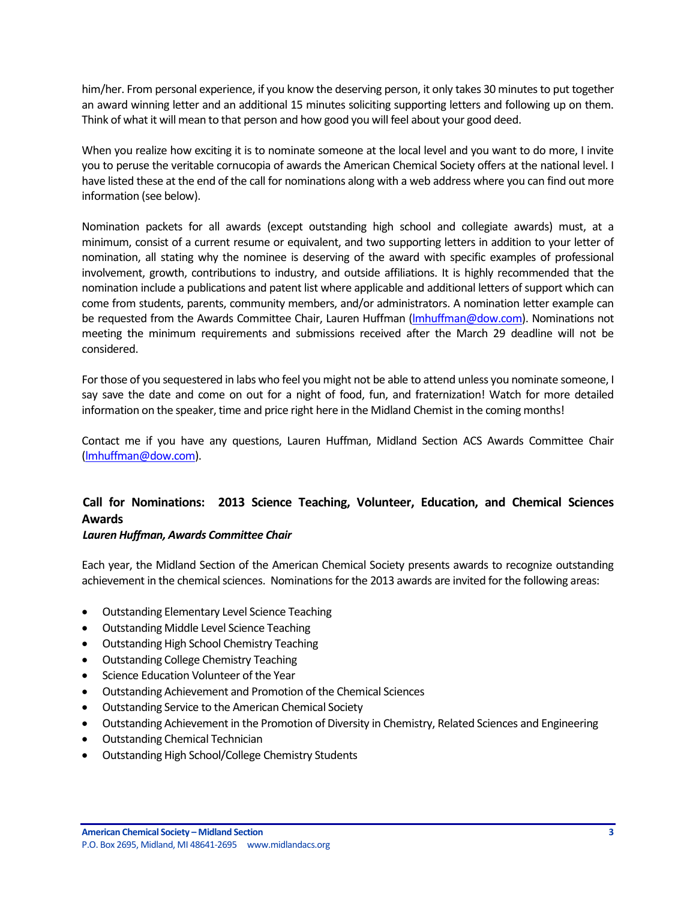him/her. From personal experience, if you know the deserving person, it only takes 30 minutes to put together an award winning letter and an additional 15 minutes soliciting supporting letters and following up on them. Think of what it will mean to that person and how good you will feel about your good deed.

When you realize how exciting it is to nominate someone at the local level and you want to do more, I invite you to peruse the veritable cornucopia of awards the American Chemical Society offers at the national level. I have listed these at the end of the call for nominations along with a web address where you can find out more information (see below).

Nomination packets for all awards (except outstanding high school and collegiate awards) must, at a minimum, consist of a current resume or equivalent, and two supporting letters in addition to your letter of nomination, all stating why the nominee is deserving of the award with specific examples of professional involvement, growth, contributions to industry, and outside affiliations. It is highly recommended that the nomination include a publications and patent list where applicable and additional letters of support which can come from students, parents, community members, and/or administrators. A nomination letter example can be requested from the Awards Committee Chair, Lauren Huffman (Imhuffman@dow.com). Nominations not meeting the minimum requirements and submissions received after the March 29 deadline will not be considered.

For those of you sequestered in labs who feel you might not be able to attend unless you nominate someone, I say save the date and come on out for a night of food, fun, and fraternization! Watch for more detailed information on the speaker, time and price right here in the Midland Chemist in the coming months!

Contact me if you have any questions, Lauren Huffman, Midland Section ACS Awards Committee Chair [\(lmhuffman@dow.com\)](mailto:lmhuffman@dow.com).

# <span id="page-2-0"></span>**Call for Nominations: 2013 Science Teaching, Volunteer, Education, and Chemical Sciences Awards**

## *Lauren Huffman, Awards Committee Chair*

Each year, the Midland Section of the American Chemical Society presents awards to recognize outstanding achievement in the chemical sciences. Nominations for the 2013 awards are invited for the following areas:

- Outstanding Elementary Level Science Teaching
- Outstanding Middle Level Science Teaching
- Outstanding High School Chemistry Teaching
- Outstanding College Chemistry Teaching
- Science Education Volunteer of the Year
- Outstanding Achievement and Promotion of the Chemical Sciences
- Outstanding Service to the American Chemical Society
- Outstanding Achievement in the Promotion of Diversity in Chemistry, Related Sciences and Engineering
- Outstanding Chemical Technician
- Outstanding High School/College Chemistry Students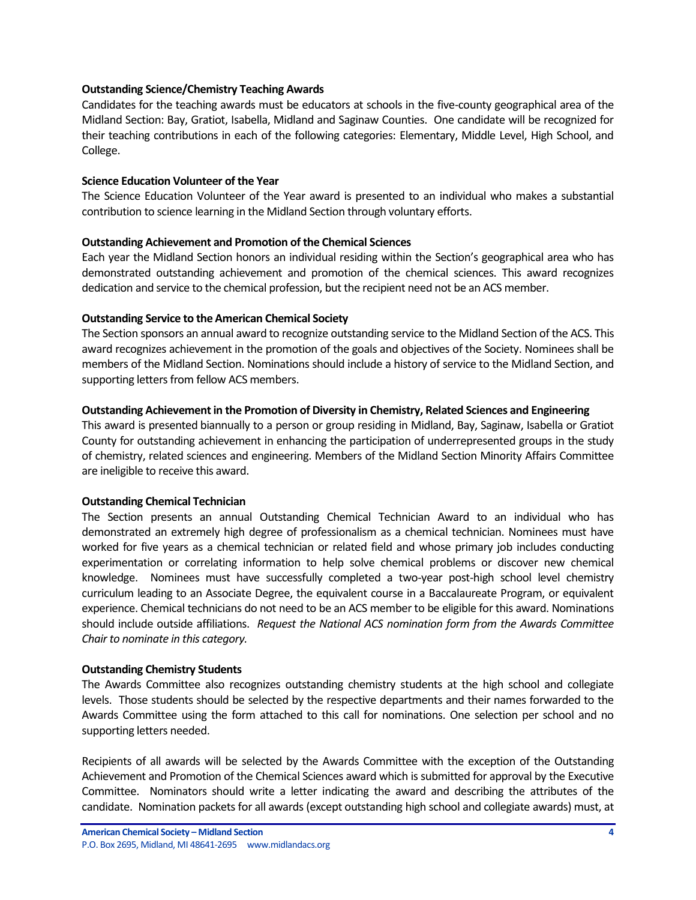### **Outstanding Science/Chemistry Teaching Awards**

Candidates for the teaching awards must be educators at schools in the five-county geographical area of the Midland Section: Bay, Gratiot, Isabella, Midland and Saginaw Counties. One candidate will be recognized for their teaching contributions in each of the following categories: Elementary, Middle Level, High School, and College.

### **Science Education Volunteer of the Year**

The Science Education Volunteer of the Year award is presented to an individual who makes a substantial contribution to science learning in the Midland Section through voluntary efforts.

### **Outstanding Achievement and Promotion of the Chemical Sciences**

Each year the Midland Section honors an individual residing within the Section's geographical area who has demonstrated outstanding achievement and promotion of the chemical sciences. This award recognizes dedication and service to the chemical profession, but the recipient need not be an ACS member.

### **Outstanding Service to the American Chemical Society**

The Section sponsors an annual award to recognize outstanding service to the Midland Section of the ACS. This award recognizes achievement in the promotion of the goals and objectives of the Society. Nominees shall be members of the Midland Section. Nominations should include a history of service to the Midland Section, and supporting letters from fellow ACS members.

### **Outstanding Achievement in the Promotion of Diversity in Chemistry, Related Sciences and Engineering**

This award is presented biannually to a person or group residing in Midland, Bay, Saginaw, Isabella or Gratiot County for outstanding achievement in enhancing the participation of underrepresented groups in the study of chemistry, related sciences and engineering. Members of the Midland Section Minority Affairs Committee are ineligible to receive this award.

## **Outstanding Chemical Technician**

The Section presents an annual Outstanding Chemical Technician Award to an individual who has demonstrated an extremely high degree of professionalism as a chemical technician. Nominees must have worked for five years as a chemical technician or related field and whose primary job includes conducting experimentation or correlating information to help solve chemical problems or discover new chemical knowledge. Nominees must have successfully completed a two-year post-high school level chemistry curriculum leading to an Associate Degree, the equivalent course in a Baccalaureate Program, or equivalent experience. Chemical technicians do not need to be an ACS member to be eligible for this award. Nominations should include outside affiliations. *Request the National ACS nomination form from the Awards Committee Chair to nominate in this category.*

### **Outstanding Chemistry Students**

The Awards Committee also recognizes outstanding chemistry students at the high school and collegiate levels. Those students should be selected by the respective departments and their names forwarded to the Awards Committee using the form attached to this call for nominations. One selection per school and no supporting letters needed.

Recipients of all awards will be selected by the Awards Committee with the exception of the Outstanding Achievement and Promotion of the Chemical Sciences award which is submitted for approval by the Executive Committee. Nominators should write a letter indicating the award and describing the attributes of the candidate. Nomination packets for all awards (except outstanding high school and collegiate awards) must, at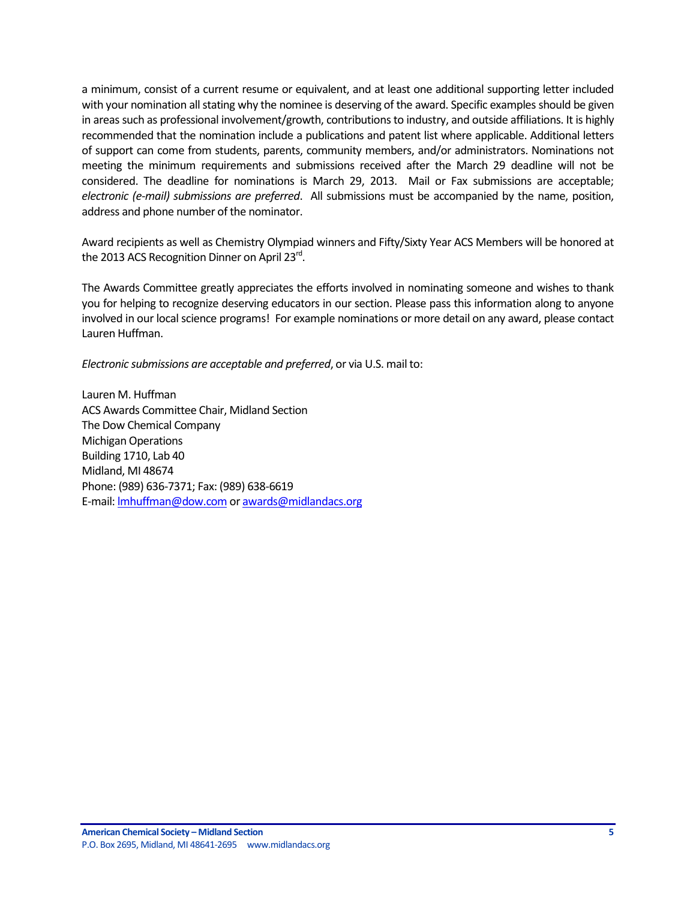a minimum, consist of a current resume or equivalent, and at least one additional supporting letter included with your nomination all stating why the nominee is deserving of the award. Specific examples should be given in areas such as professional involvement/growth, contributions to industry, and outside affiliations. It is highly recommended that the nomination include a publications and patent list where applicable. Additional letters of support can come from students, parents, community members, and/or administrators. Nominations not meeting the minimum requirements and submissions received after the March 29 deadline will not be considered. The deadline for nominations is March 29, 2013. Mail or Fax submissions are acceptable; *electronic (e-mail) submissions are preferred*. All submissions must be accompanied by the name, position, address and phone number of the nominator.

Award recipients as well as Chemistry Olympiad winners and Fifty/Sixty Year ACS Members will be honored at the 2013 ACS Recognition Dinner on April 23 $^{\text{rd}}$ .

The Awards Committee greatly appreciates the efforts involved in nominating someone and wishes to thank you for helping to recognize deserving educators in our section. Please pass this information along to anyone involved in our local science programs! For example nominations or more detail on any award, please contact Lauren Huffman.

*Electronic submissions are acceptable and preferred*, or via U.S. mail to:

Lauren M. Huffman ACS Awards Committee Chair, Midland Section The Dow Chemical Company Michigan Operations Building 1710, Lab 40 Midland, MI 48674 Phone: (989) 636-7371; Fax: (989) 638-6619 E-mail[: lmhuffman@dow.com](mailto:lmhuffman@dow.com) o[r awards@midlandacs.org](mailto:awards@midlandacs.org)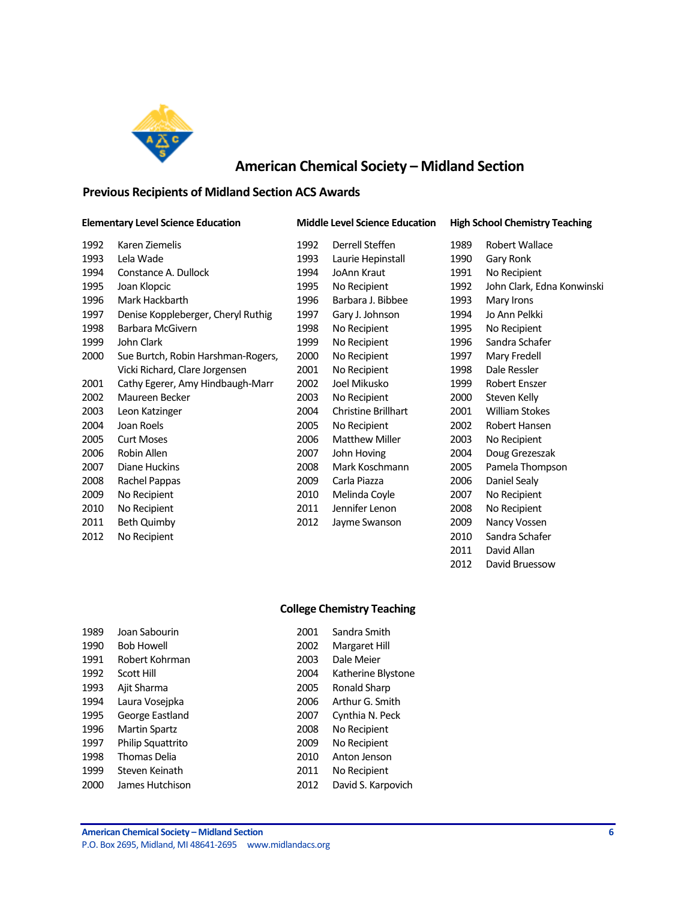

# **American Chemical Society – Midland Section**

# <span id="page-5-0"></span>**Previous Recipients of Midland Section ACS Awards**

#### **Elementary Level Science Education Middle Level Science Education High School Chemistry Teaching**

| Karen Ziemelis                     | 1992 | Derrell Steffen            | 1989 | Robert Wallace             |
|------------------------------------|------|----------------------------|------|----------------------------|
| Lela Wade                          | 1993 | Laurie Hepinstall          | 1990 | Gary Ronk                  |
| Constance A. Dullock               | 1994 | JoAnn Kraut                | 1991 | No Recipient               |
| Joan Klopcic                       | 1995 | No Recipient               | 1992 | John Clark, Edna Konwinski |
| Mark Hackbarth                     | 1996 | Barbara J. Bibbee          | 1993 | Mary Irons                 |
| Denise Koppleberger, Cheryl Ruthig | 1997 | Gary J. Johnson            | 1994 | Jo Ann Pelkki              |
| Barbara McGivern                   | 1998 | No Recipient               | 1995 | No Recipient               |
| John Clark                         | 1999 | No Recipient               | 1996 | Sandra Schafer             |
| Sue Burtch, Robin Harshman-Rogers, | 2000 | No Recipient               | 1997 | Mary Fredell               |
| Vicki Richard, Clare Jorgensen     | 2001 | No Recipient               | 1998 | Dale Ressler               |
| Cathy Egerer, Amy Hindbaugh-Marr   | 2002 | Joel Mikusko               | 1999 | Robert Enszer              |
| Maureen Becker                     | 2003 | No Recipient               | 2000 | Steven Kelly               |
| Leon Katzinger                     | 2004 | <b>Christine Brillhart</b> | 2001 | William Stokes             |
| Joan Roels                         | 2005 | No Recipient               | 2002 | Robert Hansen              |
| <b>Curt Moses</b>                  | 2006 | <b>Matthew Miller</b>      | 2003 | No Recipient               |
| Robin Allen                        | 2007 | John Hoving                | 2004 | Doug Grezeszak             |
| Diane Huckins                      | 2008 | Mark Koschmann             | 2005 | Pamela Thompson            |
| Rachel Pappas                      | 2009 | Carla Piazza               | 2006 | Daniel Sealy               |
| No Recipient                       | 2010 | Melinda Coyle              | 2007 | No Recipient               |
| No Recipient                       | 2011 | Jennifer Lenon             | 2008 | No Recipient               |
| Beth Quimby                        | 2012 | Jayme Swanson              | 2009 | Nancy Vossen               |
| No Recipient                       |      |                            | 2010 | Sandra Schafer             |
|                                    |      |                            |      |                            |

| $\overline{2}$ | Derrell Steffen            |
|----------------|----------------------------|
| З              | Laurie Hepinstall          |
| 4              | JoAnn Kraut                |
| 5              | No Recipient               |
| 6              | Barbara J. Bibbee          |
| 7              | Gary J. Johnson            |
| 8              | No Recipient               |
| 9              | No Recipient               |
| 0              | No Recipient               |
| $\mathbf 1$    | No Recipient               |
| 12             | Joel Mikusko               |
| В              | No Recipient               |
| 4              | <b>Christine Brillhart</b> |
| 5              | No Recipient               |
| 6              | <b>Matthew Miller</b>      |
| 17             | John Hoving                |
| 8              | Mark Koschmann             |
| 19             | Carla Piazza               |
| 0              | Melinda Coyle              |
| 1              | Jennifer Lenon             |
| 2              | Jayme Swanson              |

| 1989 | Robert Wallace           |
|------|--------------------------|
| 1990 | Gary Ronk                |
| 1991 | No Recipient             |
| 1992 | John Clark, Edna Konwins |
| 1993 | Mary Irons               |
| 1994 | Io Ann Pelkki            |
| 1995 | No Recipient             |
| 1996 | Sandra Schafer           |
| 1997 | Mary Fredell             |
| 1998 | Dale Ressler             |
| 1999 | Robert Enszer            |
| 2000 | Steven Kelly             |
| 2001 | <b>William Stokes</b>    |
| 2002 | Robert Hansen            |
| 2003 | No Recipient             |
| 2004 | Doug Grezeszak           |
| 2005 | Pamela Thompson          |
| 2006 | Daniel Sealy             |
| 2007 | No Recipient             |
| 2008 | No Recipient             |
| 2009 | Nancy Vossen             |
| 2010 | Sandra Schafer           |
| 2011 | David Allan              |
| 2012 | David Bruessow           |

### **College Chemistry Teaching**

| 1989 | Joan Sabourin        | 2001 | Sandra Smith       |
|------|----------------------|------|--------------------|
| 1990 | <b>Bob Howell</b>    | 2002 | Margaret Hill      |
| 1991 | Robert Kohrman       | 2003 | Dale Meier         |
| 1992 | Scott Hill           | 2004 | Katherine Blystone |
| 1993 | Ajit Sharma          | 2005 | Ronald Sharp       |
| 1994 | Laura Voseipka       | 2006 | Arthur G. Smith    |
| 1995 | George Eastland      | 2007 | Cynthia N. Peck    |
| 1996 | <b>Martin Spartz</b> | 2008 | No Recipient       |
| 1997 | Philip Squattrito    | 2009 | No Recipient       |
| 1998 | Thomas Delia         | 2010 | Anton Jenson       |
| 1999 | Steven Keinath       | 2011 | No Recipient       |
| 2000 | James Hutchison      | 2012 | David S. Karpovich |
|      |                      |      |                    |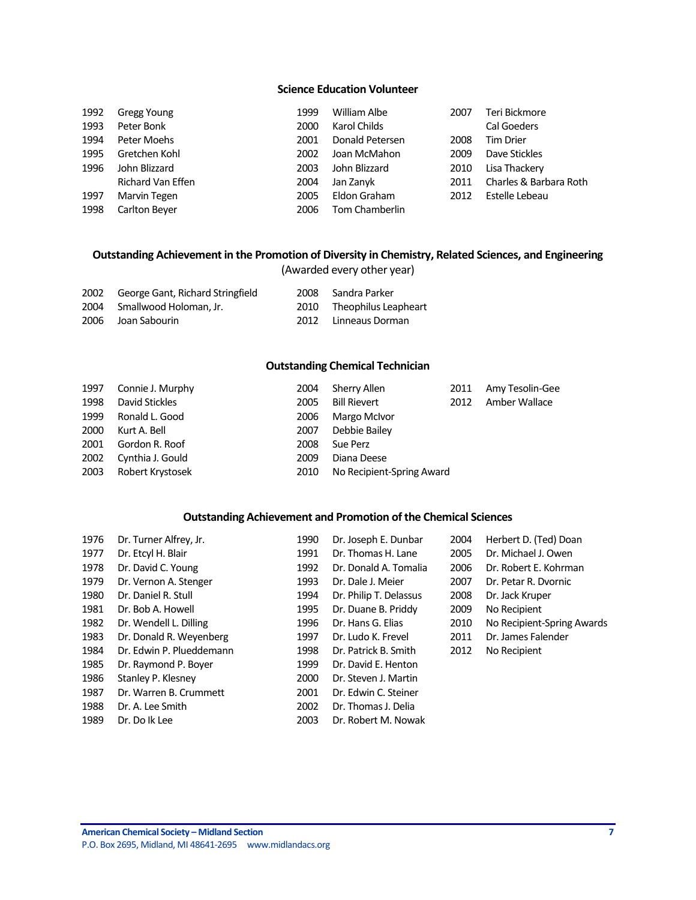## **Science Education Volunteer**

| 1992 | Gregg Young       | 1999 | William Albe    | 2007 | Teri Bickmore          |
|------|-------------------|------|-----------------|------|------------------------|
| 1993 | Peter Bonk        | 2000 | Karol Childs    |      | <b>Cal Goeders</b>     |
| 1994 | Peter Moehs       | 2001 | Donald Petersen | 2008 | <b>Tim Drier</b>       |
| 1995 | Gretchen Kohl     | 2002 | Joan McMahon    | 2009 | Dave Stickles          |
| 1996 | John Blizzard     | 2003 | John Blizzard   | 2010 | Lisa Thackery          |
|      | Richard Van Effen | 2004 | Jan Zanyk       | 2011 | Charles & Barbara Roth |
| 1997 | Marvin Tegen      | 2005 | Eldon Graham    | 2012 | Estelle Lebeau         |
| 1998 | Carlton Beyer     | 2006 | Tom Chamberlin  |      |                        |

### **Outstanding Achievement in the Promotion of Diversity in Chemistry, Related Sciences, and Engineering** (Awarded every other year)

| 2002 | George Gant, Richard Stringfield | 2008 | Sandra Parker             |
|------|----------------------------------|------|---------------------------|
|      | 2004 Smallwood Holoman, Jr.      |      | 2010 Theophilus Leapheart |
|      | 2006 Joan Sabourin               |      | 2012 Linneaus Dorman      |

### **Outstanding Chemical Technician**

| 1997 | Connie J. Murphy | 2004 | Sherry Allen              | 2011 | Amy Tesolin-Gee |
|------|------------------|------|---------------------------|------|-----------------|
| 1998 | David Stickles   | 2005 | <b>Bill Rievert</b>       | 2012 | Amber Wallace   |
| 1999 | Ronald L. Good   | 2006 | Margo McIvor              |      |                 |
| 2000 | Kurt A. Bell     | 2007 | Debbie Bailey             |      |                 |
| 2001 | Gordon R. Roof   | 2008 | Sue Perz                  |      |                 |
| 2002 | Cynthia J. Gould | 2009 | Diana Deese               |      |                 |
| 2003 | Robert Krystosek | 2010 | No Recipient-Spring Award |      |                 |

### **Outstanding Achievement and Promotion of the Chemical Sciences**

| 1976 | Dr. Turner Alfrey, Jr.   | 1990 | Dr. Joseph E. Dunbar   | 2004 | Herbert D. (Ted) Doan      |
|------|--------------------------|------|------------------------|------|----------------------------|
| 1977 | Dr. Etcyl H. Blair       | 1991 | Dr. Thomas H. Lane     | 2005 | Dr. Michael J. Owen        |
| 1978 | Dr. David C. Young       | 1992 | Dr. Donald A. Tomalia  | 2006 | Dr. Robert E. Kohrman      |
| 1979 | Dr. Vernon A. Stenger    | 1993 | Dr. Dale J. Meier      | 2007 | Dr. Petar R. Dvornic       |
| 1980 | Dr. Daniel R. Stull      | 1994 | Dr. Philip T. Delassus | 2008 | Dr. Jack Kruper            |
| 1981 | Dr. Bob A. Howell        | 1995 | Dr. Duane B. Priddy    | 2009 | No Recipient               |
| 1982 | Dr. Wendell L. Dilling   | 1996 | Dr. Hans G. Elias      | 2010 | No Recipient-Spring Awards |
| 1983 | Dr. Donald R. Weyenberg  | 1997 | Dr. Ludo K. Frevel     | 2011 | Dr. James Falender         |
| 1984 | Dr. Edwin P. Plueddemann | 1998 | Dr. Patrick B. Smith   | 2012 | No Recipient               |
| 1985 | Dr. Raymond P. Boyer     | 1999 | Dr. David E. Henton    |      |                            |
| 1986 | Stanley P. Klesney       | 2000 | Dr. Steven J. Martin   |      |                            |
| 1987 | Dr. Warren B. Crummett   | 2001 | Dr. Edwin C. Steiner   |      |                            |
| 1988 | Dr. A. Lee Smith         | 2002 | Dr. Thomas J. Delia    |      |                            |
| 1989 | Dr. Do Ik Lee            | 2003 | Dr. Robert M. Nowak    |      |                            |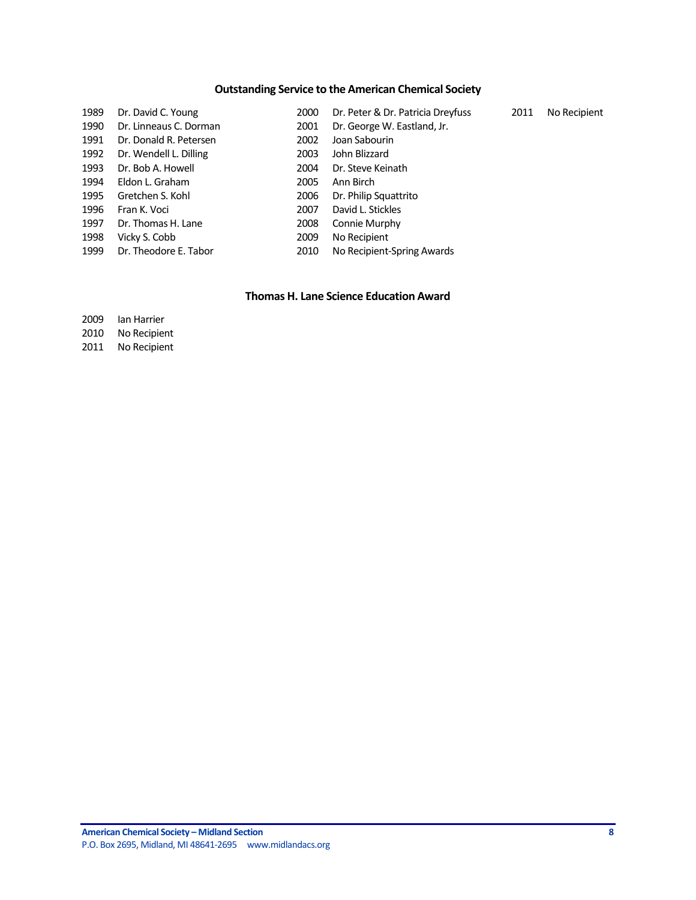# **Outstanding Service to the American Chemical Society**

| 1989 | Dr. David C. Young     | 2000 | Dr. Peter & Dr. Patricia Dreyfuss | 2011 | No Recipient |
|------|------------------------|------|-----------------------------------|------|--------------|
| 1990 | Dr. Linneaus C. Dorman | 2001 | Dr. George W. Eastland, Jr.       |      |              |
| 1991 | Dr. Donald R. Petersen | 2002 | Joan Sabourin                     |      |              |
| 1992 | Dr. Wendell L. Dilling | 2003 | John Blizzard                     |      |              |
| 1993 | Dr. Bob A. Howell      | 2004 | Dr. Steve Keinath                 |      |              |
| 1994 | Eldon L. Graham        | 2005 | Ann Birch                         |      |              |
| 1995 | Gretchen S. Kohl       | 2006 | Dr. Philip Squattrito             |      |              |
| 1996 | Fran K. Voci           | 2007 | David L. Stickles                 |      |              |
| 1997 | Dr. Thomas H. Lane     | 2008 | Connie Murphy                     |      |              |
| 1998 | Vicky S. Cobb          | 2009 | No Recipient                      |      |              |
| 1999 | Dr. Theodore E. Tabor  | 2010 | No Recipient-Spring Awards        |      |              |

### **Thomas H. Lane Science Education Award**

 Ian Harrier No Recipient

No Recipient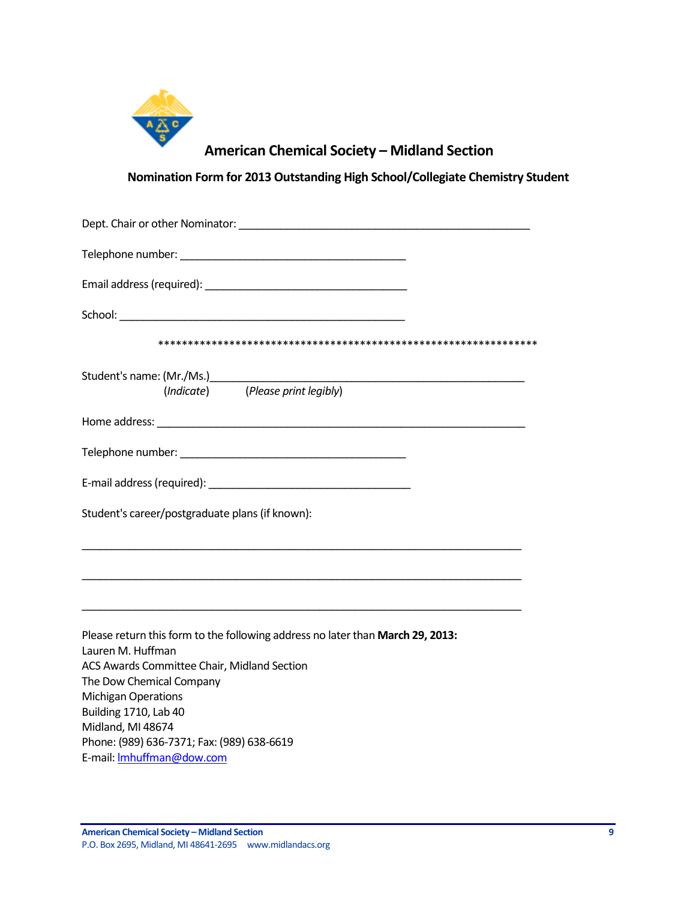

# **American Chemical Society – Midland Section**

**Nomination Form for 2013 Outstanding High School/Collegiate Chemistry Student**

<span id="page-8-0"></span>

| (Indicate) (Please print legibly)                                                                   |
|-----------------------------------------------------------------------------------------------------|
|                                                                                                     |
|                                                                                                     |
|                                                                                                     |
| Student's career/postgraduate plans (if known):                                                     |
|                                                                                                     |
|                                                                                                     |
| Please return this form to the following address no later than March 29, 2013:<br>Lauren M. Huffman |
| ACS Awards Committee Chair, Midland Section                                                         |
| The Dow Chemical Company<br><b>Michigan Operations</b>                                              |
| Building 1710, Lab 40                                                                               |
| Midland, MI 48674                                                                                   |
| Phone: (989) 636-7371; Fax: (989) 638-6619                                                          |
| E-mail: Imhuffman@dow.com                                                                           |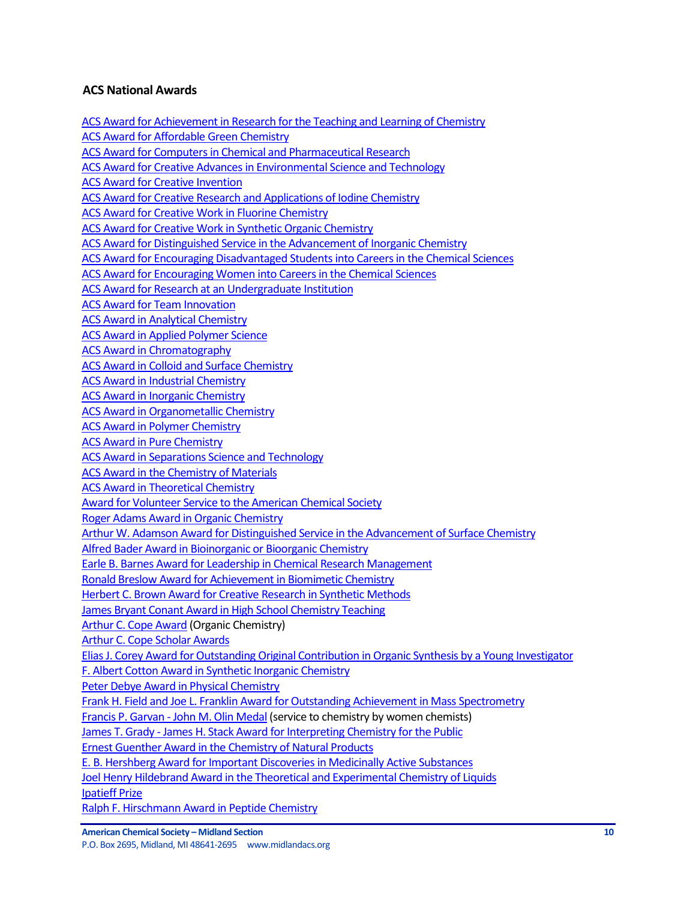# <span id="page-9-0"></span>**ACS National Awards**

[ACS Award for Achievement in Research for the Teaching and Learning of Chemistry](http://portal.acs.org/portal/PublicWebSite/funding/awards/national/bytopic/CTP_004484) [ACS Award for Affordable Green Chemistry](http://portal.acs.org/portal/PublicWebSite/funding/awards/national/bytopic/CTP_004487) [ACS Award for Computers in Chemical and Pharmaceutical Research](http://portal.acs.org/portal/PublicWebSite/funding/awards/national/bytopic/CTP_004503) [ACS Award for Creative Advances in Environmental Science and Technology](http://portal.acs.org/portal/PublicWebSite/funding/awards/national/bytopic/CTP_004504) [ACS Award for Creative Invention](http://portal.acs.org/portal/PublicWebSite/funding/awards/national/bytopic/CTP_004506) [ACS Award for Creative Research and Applications of Iodine Chemistry](https://wcmscontrib.acs.org/PublicWebSite/funding/awards/national/bytopic/CTP_004507) [ACS Award for Creative Work in Fluorine Chemistry](http://portal.acs.org/portal/PublicWebSite/funding/awards/national/bytopic/CTP_004505) [ACS Award for Creative Work in Synthetic Organic Chemistry](http://portal.acs.org/portal/PublicWebSite/funding/awards/national/bytopic/CTP_004508) [ACS Award for Distinguished Service in the Advancement of Inorganic Chemistry](http://portal.acs.org/portal/PublicWebSite/funding/awards/national/bytopic/CTP_004486) [ACS Award for Encouraging Disadvantaged Students into Careers in the Chemical Sciences](http://portal.acs.org/portal/PublicWebSite/funding/awards/national/bytopic/CTP_004509) [ACS Award for Encouraging Women into Careers in the Chemical Sciences](http://portal.acs.org/portal/PublicWebSite/funding/awards/national/bytopic/CTP_004517) [ACS Award for Research at an Undergraduate Institution](http://portal.acs.org/portal/PublicWebSite/funding/awards/national/bytopic/CTP_004549) [ACS Award for Team Innovation](http://portal.acs.org/portal/PublicWebSite/funding/awards/national/bytopic/CTP_004554) [ACS Award in Analytical Chemistry](http://portal.acs.org/portal/PublicWebSite/funding/awards/national/bytopic/CTP_004492) [ACS Award in Applied Polymer Science](http://portal.acs.org/portal/PublicWebSite/funding/awards/national/bytopic/CTP_004493) [ACS Award in Chromatography](http://portal.acs.org/portal/PublicWebSite/funding/awards/national/bytopic/CTP_004500) [ACS Award in Colloid and Surface Chemistry](http://portal.acs.org/portal/PublicWebSite/funding/awards/national/bytopic/CTP_004502) [ACS Award in Industrial Chemistry](http://portal.acs.org/portal/PublicWebSite/funding/awards/national/bytopic/CTP_004531) [ACS Award in Inorganic Chemistry](http://portal.acs.org/portal/PublicWebSite/funding/awards/national/bytopic/CTP_004532) [ACS Award in Organometallic Chemistry](http://portal.acs.org/portal/PublicWebSite/funding/awards/national/bytopic/CTP_004542) [ACS Award in Polymer Chemistry](http://portal.acs.org/portal/PublicWebSite/funding/awards/national/bytopic/CTP_004544) [ACS Award in Pure Chemistry](http://portal.acs.org/portal/PublicWebSite/funding/awards/national/bytopic/CTP_004546) [ACS Award in Separations Science and Technology](http://portal.acs.org/portal/PublicWebSite/funding/awards/national/bytopic/CTP_004552) [ACS Award in the Chemistry of Materials](http://portal.acs.org/portal/PublicWebSite/funding/awards/national/bytopic/CTP_004499) [ACS Award in Theoretical Chemistry](http://portal.acs.org/portal/PublicWebSite/funding/awards/national/bytopic/CTP_004555) [Award for Volunteer Service to the American Chemical Society](http://portal.acs.org/portal/PublicWebSite/funding/awards/national/bytopic/CTP_004556) [Roger Adams Award in Organic Chemistry](http://portal.acs.org/portal/acs/corg/content?_nfpb=true&_pageLabel=PP_ARTICLEMAIN&node_id=1319&content_id=CTP_004550&use_sec=true&sec_url_var=region1&__uuid=1e76bebf-2a77-403a-b47b-1dbd8d8c2adc) [Arthur W. Adamson Award for Distinguished Service in the Advancement of Surface Chemistry](http://portal.acs.org/portal/PublicWebSite/funding/awards/national/bytopic/CTP_004494) [Alfred Bader Award in Bioinorganic or Bioorganic Chemistry](http://portal.acs.org/portal/PublicWebSite/funding/awards/national/bytopic/CTP_004490) Earle B. Barnes [Award for Leadership in Chemical Research Management](http://portal.acs.org/portal/PublicWebSite/funding/awards/national/bytopic/CTP_004512) [Ronald Breslow Award for Achievement in Biomimetic Chemistry](http://portal.acs.org/portal/PublicWebSite/funding/awards/national/bytopic/CTP_004551) [Herbert C. Brown Award for Creative Research in Synthetic Methods](http://portal.acs.org/portal/PublicWebSite/funding/awards/national/bytopic/CTP_004530) [James Bryant Conant Award in High School Chemistry Teaching](http://portal.acs.org/portal/PublicWebSite/funding/awards/national/bytopic/CTP_004535) [Arthur C. Cope Award](http://portal.acs.org/portal/PublicWebSite/funding/awards/national/bytopic/CTP_004495) (Organic Chemistry) [Arthur C. Cope Scholar Awards](http://portal.acs.org/portal/PublicWebSite/funding/awards/national/bytopic/CTP_004496) [Elias J. Corey Award for Outstanding Original Contribution in Organic Synthesis by a Young Investigator](http://portal.acs.org/portal/PublicWebSite/funding/awards/national/bytopic/CTP_004516) [F. Albert Cotton Award in Synthetic Inorganic Chemistry](http://portal.acs.org/portal/PublicWebSite/funding/awards/national/bytopic/CTP_004489) [Peter Debye Award in Physical Chemistry](http://portal.acs.org/portal/PublicWebSite/funding/awards/national/bytopic/CTP_004543) [Frank H. Field and Joe L. Franklin Award for Outstanding Achievement in Mass Spectrometry](http://portal.acs.org/portal/PublicWebSite/funding/awards/national/bytopic/CTP_004522) Francis P. Garvan - [John M. Olin Medal](http://portal.acs.org/portal/PublicWebSite/funding/awards/national/bytopic/CTP_004521) (service to chemistry by women chemists) James T. Grady - [James H. Stack Award for Interpreting Chemistry for the Public](http://portal.acs.org/portal/PublicWebSite/funding/awards/national/bytopic/CTP_004537) [Ernest Guenther Award in the Chemistry of Natural Products](http://portal.acs.org/portal/PublicWebSite/funding/awards/national/bytopic/CTP_004519) [E. B. Hershberg Award for Important Discoveries in Medicinally Active Substances](http://portal.acs.org/portal/acs/corg/content?_nfpb=true&_pageLabel=PP_ARTICLEMAIN&node_id=1319&content_id=CTP_004515&use_sec=true&sec_url_var=region1&__uuid=d07f8b4e-40a9-4f0b-9788-59ce80a26692) [Joel Henry Hildebrand Award in the Theoretical and Experimental Chemistry of Liquids](http://portal.acs.org/portal/PublicWebSite/funding/awards/national/bytopic/CTP_004539) [Ipatieff Prize](http://portal.acs.org/portal/acs/corg/content?_nfpb=true&_pageLabel=PP_ARTICLEMAIN&node_id=1319&content_id=CTP_004533&use_sec=true&sec_url_var=region1&__uuid=05590309-7c28-4866-8546-97d5ad4f0ccf)

[Ralph F. Hirschmann Award in Peptide Chemistry](http://portal.acs.org/portal/PublicWebSite/funding/awards/national/bytopic/CTP_004547)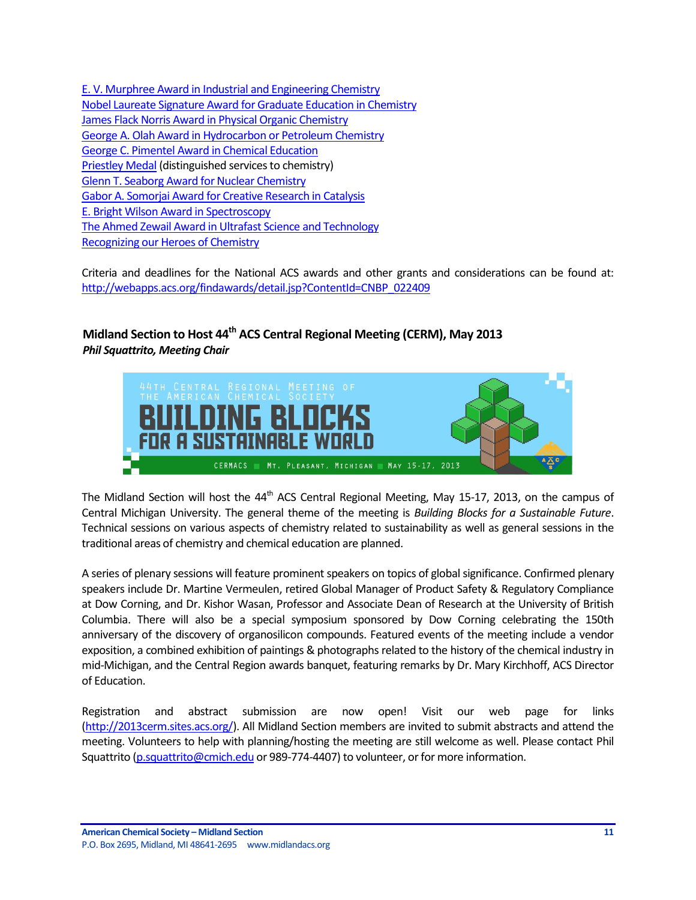[E. V. Murphree Award in Industrial and Engineering Chemistry](http://portal.acs.org/portal/PublicWebSite/funding/awards/national/bytopic/CTP_004520) [Nobel Laureate Signature Award for Graduate Education in Chemistry](http://portal.acs.org/portal/PublicWebSite/funding/awards/national/bytopic/CTP_004541) [James Flack Norris Award in Physical Organic Chemistry](http://portal.acs.org/portal/PublicWebSite/funding/awards/national/bytopic/CTP_004536) [George A. Olah Award in Hydrocarbon or Petroleum Chemistry](http://portal.acs.org/portal/PublicWebSite/funding/awards/national/bytopic/CTP_004526) [George C. Pimentel Award in Chemical Education](http://portal.acs.org/portal/PublicWebSite/funding/awards/national/bytopic/CTP_004528) [Priestley Medal](http://portal.acs.org/portal/PublicWebSite/funding/awards/national/bytopic/CTP_004545) (distinguished services to chemistry) [Glenn T. Seaborg Award for Nuclear Chemistry](http://portal.acs.org/portal/PublicWebSite/funding/awards/national/bytopic/CTP_004529) [Gabor A. Somorjai Award for Creative Research in Catalysis](http://portal.acs.org/portal/PublicWebSite/funding/awards/national/bytopic/CTP_004525) [E. Bright Wilson Award in Spectroscopy](http://portal.acs.org/portal/PublicWebSite/funding/awards/national/bytopic/CTP_004511) [The Ahmed Zewail Award in Ultrafast Science and Technology](http://portal.acs.org/portal/PublicWebSite/funding/awards/national/bytopic/CTP_004488) [Recognizing our Heroes of Chemistry](http://portal.acs.org/portal/acs/corg/content?_nfpb=true&_pageLabel=PP_SUPERARTICLE&node_id=1460&use_sec=false&sec_url_var=region1&__uuid=ef48cc7f-c3de-434e-8167-b3a7330575ad)

Criteria and deadlines for the National ACS awards and other grants and considerations can be found at: [http://webapps.acs.org/findawards/detail.jsp?ContentId=CNBP\\_022409](http://webapps.acs.org/findawards/detail.jsp?ContentId=CNBP_022409)

# <span id="page-10-0"></span>**Midland Section to Host 44th ACS Central Regional Meeting (CERM), May 2013** *Phil Squattrito, Meeting Chair*



The Midland Section will host the  $44<sup>th</sup>$  ACS Central Regional Meeting, May 15-17, 2013, on the campus of Central Michigan University. The general theme of the meeting is *Building Blocks for a Sustainable Future*. Technical sessions on various aspects of chemistry related to sustainability as well as general sessions in the traditional areas of chemistry and chemical education are planned.

A series of plenary sessions will feature prominent speakers on topics of global significance. Confirmed plenary speakers include Dr. Martine Vermeulen, retired Global Manager of Product Safety & Regulatory Compliance at Dow Corning, and Dr. Kishor Wasan, Professor and Associate Dean of Research at the University of British Columbia. There will also be a special symposium sponsored by Dow Corning celebrating the 150th anniversary of the discovery of organosilicon compounds. Featured events of the meeting include a vendor exposition, a combined exhibition of paintings & photographs related to the history of the chemical industry in mid-Michigan, and the Central Region awards banquet, featuring remarks by Dr. Mary Kirchhoff, ACS Director of Education.

Registration and abstract submission are now open! Visit our web page for links [\(http://2013cerm.sites.acs.org/\)](http://2013cerm.sites.acs.org/). All Midland Section members are invited to submit abstracts and attend the meeting. Volunteers to help with planning/hosting the meeting are still welcome as well. Please contact Phil Squattrito [\(p.squattrito@cmich.edu](mailto:p.squattrito@cmich.edu) or 989-774-4407) to volunteer, or for more information.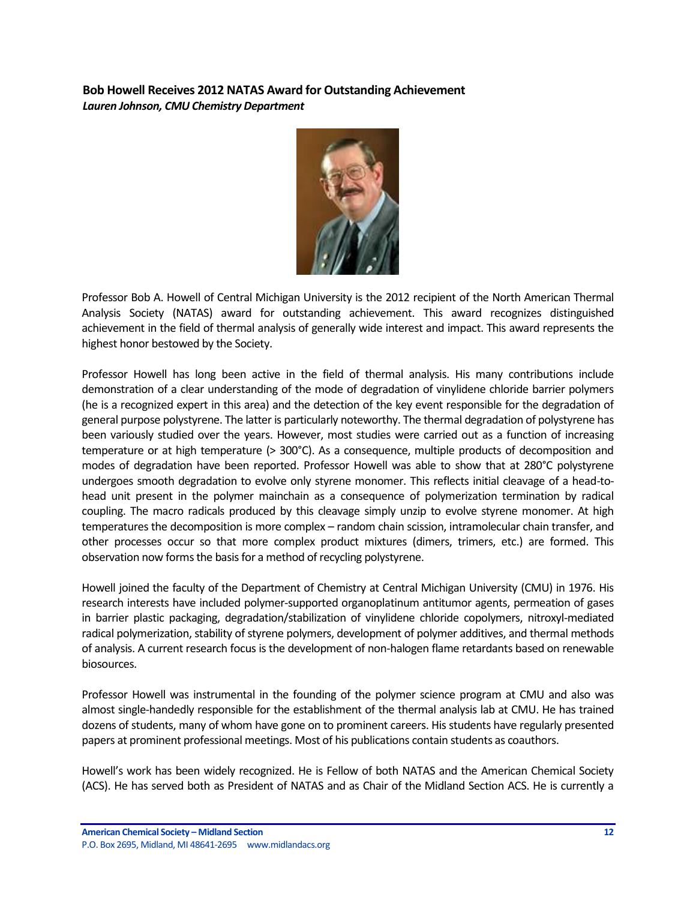<span id="page-11-0"></span>**Bob Howell Receives 2012 NATAS Award for Outstanding Achievement** *Lauren Johnson, CMU Chemistry Department*



Professor Bob A. Howell of Central Michigan University is the 2012 recipient of the North American Thermal Analysis Society (NATAS) award for outstanding achievement. This award recognizes distinguished achievement in the field of thermal analysis of generally wide interest and impact. This award represents the highest honor bestowed by the Society.

Professor Howell has long been active in the field of thermal analysis. His many contributions include demonstration of a clear understanding of the mode of degradation of vinylidene chloride barrier polymers (he is a recognized expert in this area) and the detection of the key event responsible for the degradation of general purpose polystyrene. The latter is particularly noteworthy. The thermal degradation of polystyrene has been variously studied over the years. However, most studies were carried out as a function of increasing temperature or at high temperature (> 300°C). As a consequence, multiple products of decomposition and modes of degradation have been reported. Professor Howell was able to show that at 280°C polystyrene undergoes smooth degradation to evolve only styrene monomer. This reflects initial cleavage of a head-tohead unit present in the polymer mainchain as a consequence of polymerization termination by radical coupling. The macro radicals produced by this cleavage simply unzip to evolve styrene monomer. At high temperatures the decomposition is more complex – random chain scission, intramolecular chain transfer, and other processes occur so that more complex product mixtures (dimers, trimers, etc.) are formed. This observation now forms the basis for a method of recycling polystyrene.

Howell joined the faculty of the Department of Chemistry at Central Michigan University (CMU) in 1976. His research interests have included polymer-supported organoplatinum antitumor agents, permeation of gases in barrier plastic packaging, degradation/stabilization of vinylidene chloride copolymers, nitroxyl-mediated radical polymerization, stability of styrene polymers, development of polymer additives, and thermal methods of analysis. A current research focus is the development of non-halogen flame retardants based on renewable biosources.

Professor Howell was instrumental in the founding of the polymer science program at CMU and also was almost single-handedly responsible for the establishment of the thermal analysis lab at CMU. He has trained dozens of students, many of whom have gone on to prominent careers. His students have regularly presented papers at prominent professional meetings. Most of his publications contain students as coauthors.

Howell's work has been widely recognized. He is Fellow of both NATAS and the American Chemical Society (ACS). He has served both as President of NATAS and as Chair of the Midland Section ACS. He is currently a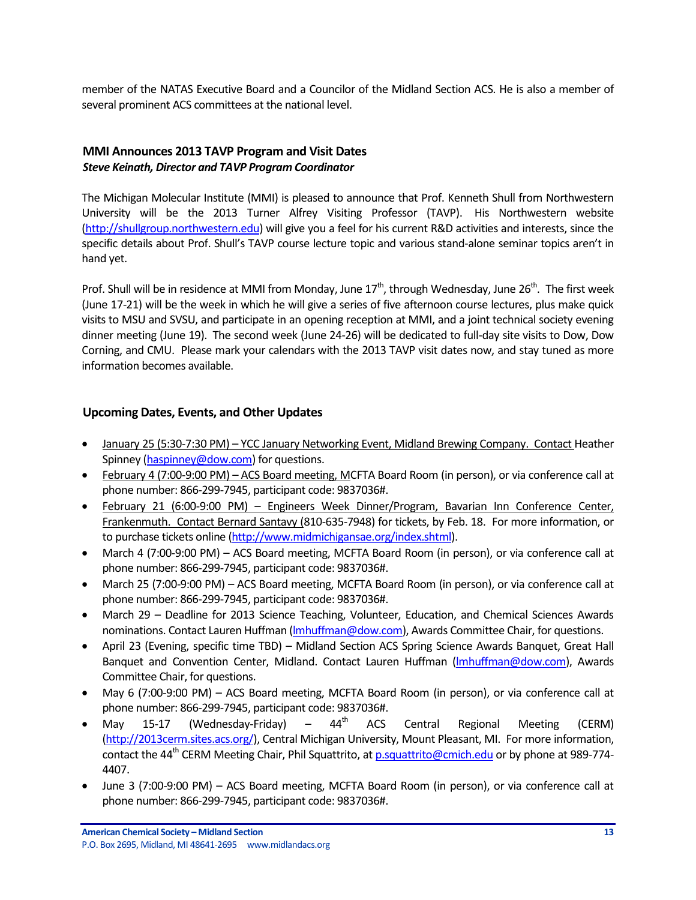member of the NATAS Executive Board and a Councilor of the Midland Section ACS. He is also a member of several prominent ACS committees at the national level.

## <span id="page-12-0"></span>**MMI Announces 2013 TAVP Program and Visit Dates** *Steve Keinath, Director and TAVP Program Coordinator*

The Michigan Molecular Institute (MMI) is pleased to announce that Prof. Kenneth Shull from Northwestern University will be the 2013 Turner Alfrey Visiting Professor (TAVP). His Northwestern website [\(http://shullgroup.northwestern.edu\)](http://shullgroup.northwestern.edu/) will give you a feel for his current R&D activities and interests, since the specific details about Prof. Shull's TAVP course lecture topic and various stand-alone seminar topics aren't in hand yet.

Prof. Shull will be in residence at MMI from Monday, June  $17<sup>th</sup>$ , through Wednesday, June  $26<sup>th</sup>$ . The first week (June 17-21) will be the week in which he will give a series of five afternoon course lectures, plus make quick visits to MSU and SVSU, and participate in an opening reception at MMI, and a joint technical society evening dinner meeting (June 19). The second week (June 24-26) will be dedicated to full-day site visits to Dow, Dow Corning, and CMU. Please mark your calendars with the 2013 TAVP visit dates now, and stay tuned as more information becomes available.

# <span id="page-12-1"></span>**Upcoming Dates, Events, and Other Updates**

- January 25 (5:30-7:30 PM) YCC January Networking Event, Midland Brewing Company. Contact Heather Spinney [\(haspinney@dow.com\)](mailto:haspinney@dow.com) for questions.
- February 4 (7:00-9:00 PM) ACS Board meeting, MCFTA Board Room (in person), or via conference call at phone number: 866-299-7945, participant code: 9837036#.
- February 21 (6:00-9:00 PM) Engineers Week Dinner/Program, Bavarian Inn Conference Center, Frankenmuth. Contact Bernard Santavy (810-635-7948) for tickets, by Feb. 18. For more information, or to purchase tickets online [\(http://www.midmichigansae.org/index.shtml\)](http://www.midmichigansae.org/index.shtml).
- March 4 (7:00-9:00 PM) ACS Board meeting, MCFTA Board Room (in person), or via conference call at phone number: 866-299-7945, participant code: 9837036#.
- March 25 (7:00-9:00 PM) ACS Board meeting, MCFTA Board Room (in person), or via conference call at phone number: 866-299-7945, participant code: 9837036#.
- March 29 Deadline for 2013 Science Teaching, Volunteer, Education, and Chemical Sciences Awards nominations. Contact Lauren Huffman (Imhuffman@dow.com), Awards Committee Chair, for questions.
- April 23 (Evening, specific time TBD) Midland Section ACS Spring Science Awards Banquet, Great Hall Banquet and Convention Center, Midland. Contact Lauren Huffman (Imhuffman@dow.com), Awards Committee Chair, for questions.
- May 6 (7:00-9:00 PM) ACS Board meeting, MCFTA Board Room (in person), or via conference call at phone number: 866-299-7945, participant code: 9837036#.
- May 15-17 (Wednesday-Friday)  $44^{\text{th}}$  ACS Central Regional Meeting (CERM) [\(http://2013cerm.sites.acs.org/\)](http://2013cerm.sites.acs.org/), Central Michigan University, Mount Pleasant, MI. For more information, contact the 44<sup>th</sup> CERM Meeting Chair, Phil Squattrito, at **p.squattrito@cmich.edu** or by phone at 989-774-4407.
- June 3 (7:00-9:00 PM) ACS Board meeting, MCFTA Board Room (in person), or via conference call at phone number: 866-299-7945, participant code: 9837036#.